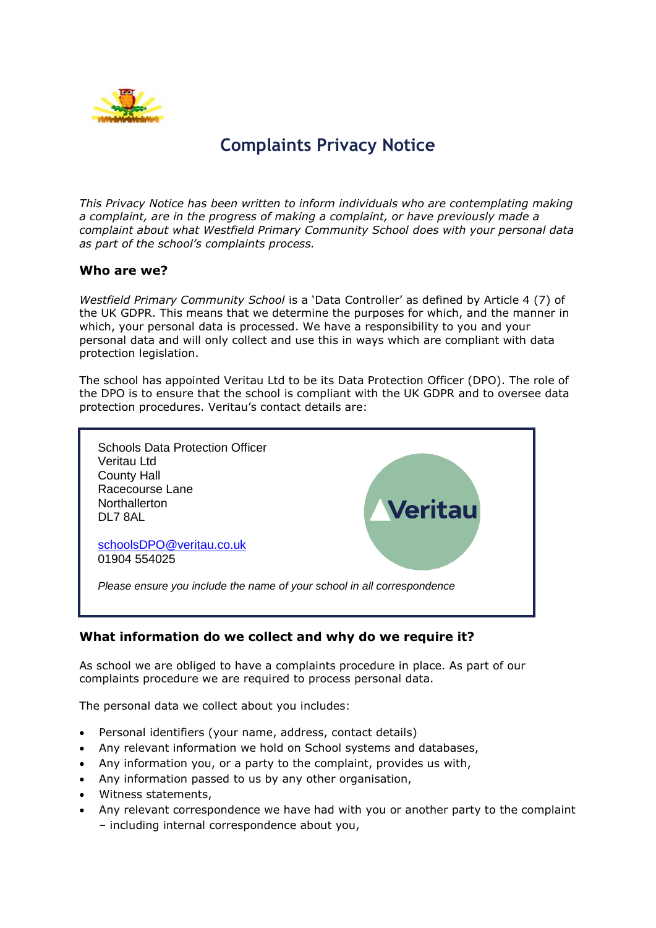

# **Complaints Privacy Notice**

*This Privacy Notice has been written to inform individuals who are contemplating making a complaint, are in the progress of making a complaint, or have previously made a complaint about what Westfield Primary Community School does with your personal data as part of the school's complaints process.*

#### **Who are we?**

*Westfield Primary Community School* is a 'Data Controller' as defined by Article 4 (7) of the UK GDPR. This means that we determine the purposes for which, and the manner in which, your personal data is processed. We have a responsibility to you and your personal data and will only collect and use this in ways which are compliant with data protection legislation.

The school has appointed Veritau Ltd to be its Data Protection Officer (DPO). The role of the DPO is to ensure that the school is compliant with the UK GDPR and to oversee data protection procedures. Veritau's contact details are:



# **What information do we collect and why do we require it?**

As school we are obliged to have a complaints procedure in place. As part of our complaints procedure we are required to process personal data.

The personal data we collect about you includes:

- Personal identifiers (your name, address, contact details)
- Any relevant information we hold on School systems and databases,
- Any information you, or a party to the complaint, provides us with,
- Any information passed to us by any other organisation,
- Witness statements,
- Any relevant correspondence we have had with you or another party to the complaint – including internal correspondence about you,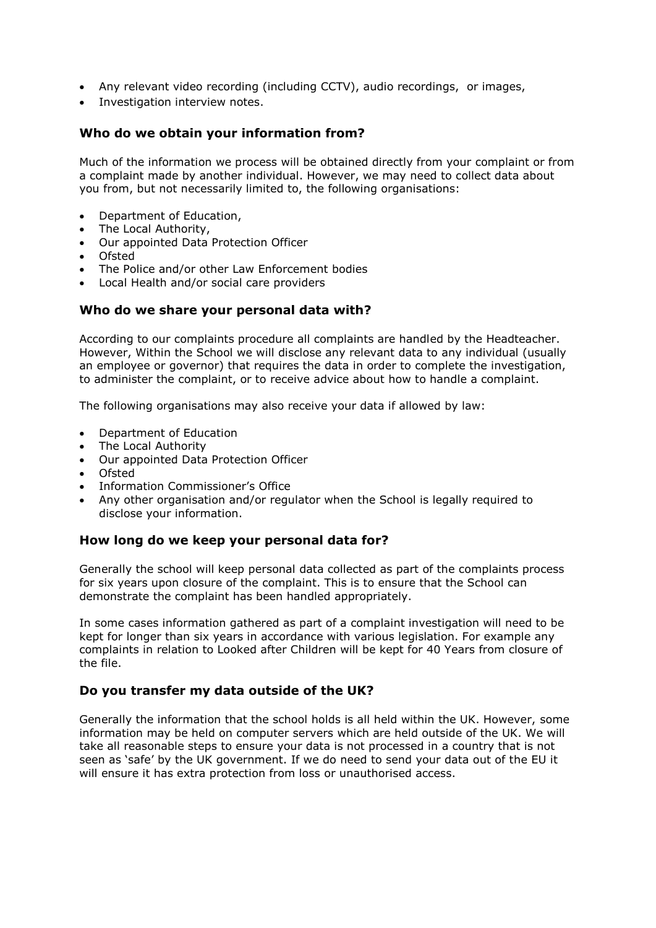- Any relevant video recording (including CCTV), audio recordings, or images,
- Investigation interview notes.

#### **Who do we obtain your information from?**

Much of the information we process will be obtained directly from your complaint or from a complaint made by another individual. However, we may need to collect data about you from, but not necessarily limited to, the following organisations:

- Department of Education,
- The Local Authority,
- Our appointed Data Protection Officer
- Ofsted
- The Police and/or other Law Enforcement bodies
- Local Health and/or social care providers

#### **Who do we share your personal data with?**

According to our complaints procedure all complaints are handled by the Headteacher. However, Within the School we will disclose any relevant data to any individual (usually an employee or governor) that requires the data in order to complete the investigation, to administer the complaint, or to receive advice about how to handle a complaint.

The following organisations may also receive your data if allowed by law:

- Department of Education
- The Local Authority
- Our appointed Data Protection Officer
- Ofsted
- Information Commissioner's Office
- Any other organisation and/or regulator when the School is legally required to disclose your information.

#### **How long do we keep your personal data for?**

Generally the school will keep personal data collected as part of the complaints process for six years upon closure of the complaint. This is to ensure that the School can demonstrate the complaint has been handled appropriately.

In some cases information gathered as part of a complaint investigation will need to be kept for longer than six years in accordance with various legislation. For example any complaints in relation to Looked after Children will be kept for 40 Years from closure of the file.

#### **Do you transfer my data outside of the UK?**

Generally the information that the school holds is all held within the UK. However, some information may be held on computer servers which are held outside of the UK. We will take all reasonable steps to ensure your data is not processed in a country that is not seen as 'safe' by the UK government. If we do need to send your data out of the EU it will ensure it has extra protection from loss or unauthorised access.